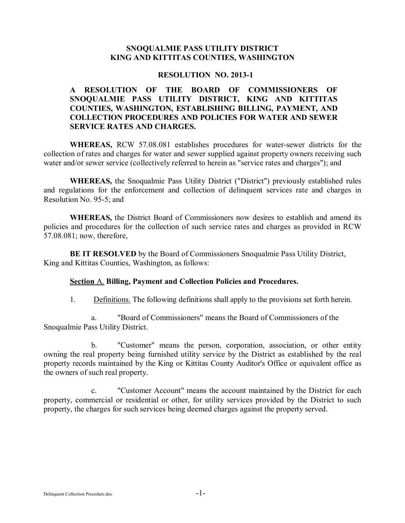### **SNOQUALMIE PASS UTILITY DISTRICT KING AND KITTITAS COUNTIES, WASHINGTON**

#### **RESOLUTION NO. 2013-1**

## **A RESOLUTION OF THE BOARD OF COMMISSIONERS OF SNOQUALMIE PASS UTILITY DISTRICT, KING AND KITTITAS COUNTIES, WASHINGTON, ESTABLISHING BILLING, PAYMENT, AND COLLECTION PROCEDURES AND POLICIES FOR WATER AND SEWER SERVICE RATES AND CHARGES.**

**WHEREAS,** RCW 57.08.081 establishes procedures for water-sewer districts for the collection of rates and charges for water and sewer supplied against property owners receiving such water and/or sewer service (collectively referred to herein as "service rates and charges"); and

**WHEREAS,** the Snoqualmie Pass Utility District ("District") previously established rules and regulations for the enforcement and collection of delinquent services rate and charges in Resolution No. 95-5; and

**WHEREAS,** the District Board of Commissioners now desires to establish and amend its policies and procedures for the collection of such service rates and charges as provided in RCW 57.08.081; now, therefore,

**BE IT RESOLVED** by the Board of Commissioners Snoqualmie Pass Utility District, King and Kittitas Counties, Washington, as follows:

#### **Section** A. **Billing, Payment and Collection Policies and Procedures.**

1. Definitions. The following definitions shall apply to the provisions set forth herein.

a. "Board of Commissioners" means the Board of Commissioners of the Snoqualmie Pass Utility District.

b. "Customer" means the person, corporation, association, or other entity owning the real property being furnished utility service by the District as established by the real property records maintained by the King or Kittitas County Auditor's Office or equivalent office as the owners of such real property.

c. "Customer Account" means the account maintained by the District for each property, commercial or residential or other, for utility services provided by the District to such property, the charges for such services being deemed charges against the property served.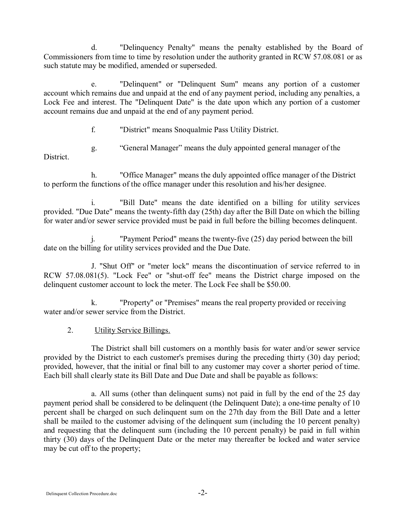d. "Delinquency Penalty" means the penalty established by the Board of Commissioners from time to time by resolution under the authority granted in RCW 57.08.081 or as such statute may be modified, amended or superseded.

e. "Delinquent" or "Delinquent Sum" means any portion of a customer account which remains due and unpaid at the end of any payment period, including any penalties, a Lock Fee and interest. The "Delinquent Date" is the date upon which any portion of a customer account remains due and unpaid at the end of any payment period.

- f. "District" means Snoqualmie Pass Utility District.
- g. "General Manager" means the duly appointed general manager of the

District.

h. "Office Manager" means the duly appointed office manager of the District to perform the functions of the office manager under this resolution and his/her designee.

i. "Bill Date" means the date identified on a billing for utility services provided. "Due Date" means the twenty-fifth day (25th) day after the Bill Date on which the billing for water and/or sewer service provided must be paid in full before the billing becomes delinquent.

j. "Payment Period" means the twenty-five (25) day period between the bill date on the billing for utility services provided and the Due Date.

J. "Shut Off" or "meter lock" means the discontinuation of service referred to in RCW 57.08.081(5). "Lock Fee" or "shut-off fee" means the District charge imposed on the delinquent customer account to lock the meter. The Lock Fee shall be \$50.00.

k. "Property" or "Premises" means the real property provided or receiving water and/or sewer service from the District.

## 2. Utility Service Billings.

The District shall bill customers on a monthly basis for water and/or sewer service provided by the District to each customer's premises during the preceding thirty (30) day period; provided, however, that the initial or final bill to any customer may cover a shorter period of time. Each bill shall clearly state its Bill Date and Due Date and shall be payable as follows:

a. All sums (other than delinquent sums) not paid in full by the end of the 25 day payment period shall be considered to be delinquent (the Delinquent Date); a one-time penalty of 10 percent shall be charged on such delinquent sum on the 27th day from the Bill Date and a letter shall be mailed to the customer advising of the delinquent sum (including the 10 percent penalty) and requesting that the delinquent sum (including the 10 percent penalty) be paid in full within thirty (30) days of the Delinquent Date or the meter may thereafter be locked and water service may be cut off to the property;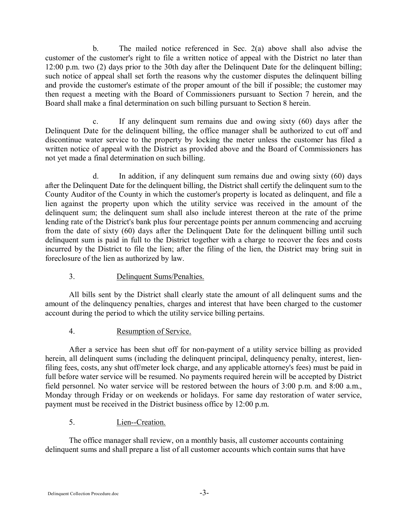b. The mailed notice referenced in Sec. 2(a) above shall also advise the customer of the customer's right to file a written notice of appeal with the District no later than 12:00 p.m. two (2) days prior to the 30th day after the Delinquent Date for the delinquent billing; such notice of appeal shall set forth the reasons why the customer disputes the delinquent billing and provide the customer's estimate of the proper amount of the bill if possible; the customer may then request a meeting with the Board of Commissioners pursuant to Section 7 herein, and the Board shall make a final determination on such billing pursuant to Section 8 herein.

c. If any delinquent sum remains due and owing sixty (60) days after the Delinquent Date for the delinquent billing, the office manager shall be authorized to cut off and discontinue water service to the property by locking the meter unless the customer has filed a written notice of appeal with the District as provided above and the Board of Commissioners has not yet made a final determination on such billing.

d. In addition, if any delinquent sum remains due and owing sixty (60) days after the Delinquent Date for the delinquent billing, the District shall certify the delinquent sum to the County Auditor of the County in which the customer's property is located as delinquent, and file a lien against the property upon which the utility service was received in the amount of the delinquent sum; the delinquent sum shall also include interest thereon at the rate of the prime lending rate of the District's bank plus four percentage points per annum commencing and accruing from the date of sixty (60) days after the Delinquent Date for the delinquent billing until such delinquent sum is paid in full to the District together with a charge to recover the fees and costs incurred by the District to file the lien; after the filing of the lien, the District may bring suit in foreclosure of the lien as authorized by law.

# 3. Delinquent Sums/Penalties.

All bills sent by the District shall clearly state the amount of all delinquent sums and the amount of the delinquency penalties, charges and interest that have been charged to the customer account during the period to which the utility service billing pertains.

# 4. Resumption of Service.

After a service has been shut off for non-payment of a utility service billing as provided herein, all delinquent sums (including the delinquent principal, delinquency penalty, interest, lienfiling fees, costs, any shut off/meter lock charge, and any applicable attorney's fees) must be paid in full before water service will be resumed. No payments required herein will be accepted by District field personnel. No water service will be restored between the hours of 3:00 p.m. and 8:00 a.m., Monday through Friday or on weekends or holidays. For same day restoration of water service, payment must be received in the District business office by 12:00 p.m.

# 5. Lien--Creation.

The office manager shall review, on a monthly basis, all customer accounts containing delinquent sums and shall prepare a list of all customer accounts which contain sums that have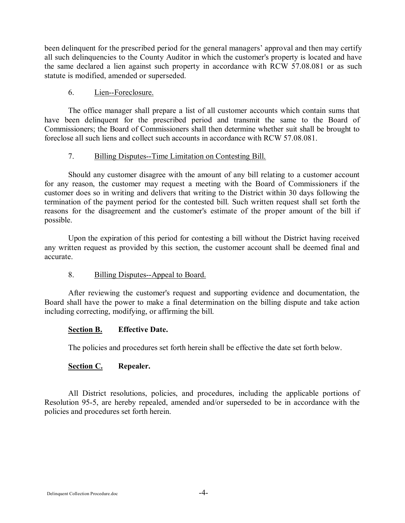been delinquent for the prescribed period for the general managers' approval and then may certify all such delinquencies to the County Auditor in which the customer's property is located and have the same declared a lien against such property in accordance with RCW 57.08.081 or as such statute is modified, amended or superseded.

## 6. Lien--Foreclosure.

The office manager shall prepare a list of all customer accounts which contain sums that have been delinquent for the prescribed period and transmit the same to the Board of Commissioners; the Board of Commissioners shall then determine whether suit shall be brought to foreclose all such liens and collect such accounts in accordance with RCW 57.08.081.

## 7. Billing Disputes--Time Limitation on Contesting Bill.

Should any customer disagree with the amount of any bill relating to a customer account for any reason, the customer may request a meeting with the Board of Commissioners if the customer does so in writing and delivers that writing to the District within 30 days following the termination of the payment period for the contested bill. Such written request shall set forth the reasons for the disagreement and the customer's estimate of the proper amount of the bill if possible.

Upon the expiration of this period for contesting a bill without the District having received any written request as provided by this section, the customer account shall be deemed final and accurate.

## 8. Billing Disputes--Appeal to Board.

After reviewing the customer's request and supporting evidence and documentation, the Board shall have the power to make a final determination on the billing dispute and take action including correcting, modifying, or affirming the bill.

#### **Section B. Effective Date.**

The policies and procedures set forth herein shall be effective the date set forth below.

## **Section C. Repealer.**

All District resolutions, policies, and procedures, including the applicable portions of Resolution 95-5, are hereby repealed, amended and/or superseded to be in accordance with the policies and procedures set forth herein.